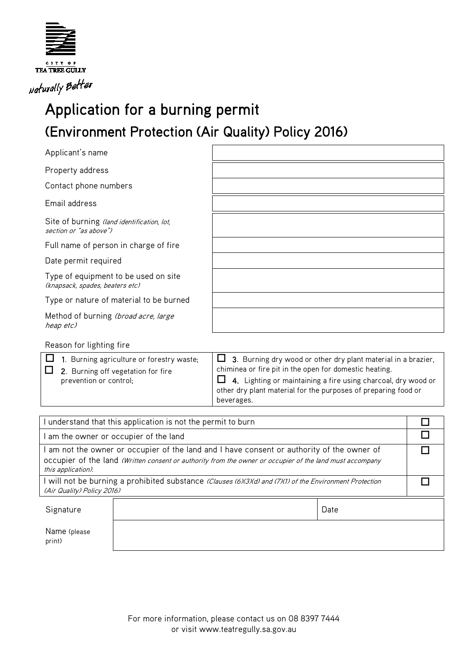

## Application for a burning permit (Environment Protection (Air Quality) Policy 2016)

| Applicant's name                                                        |                                                               |
|-------------------------------------------------------------------------|---------------------------------------------------------------|
| Property address                                                        |                                                               |
| Contact phone numbers                                                   |                                                               |
| Email address                                                           |                                                               |
| Site of burning (land identification, lot,<br>section or "as above")    |                                                               |
| Full name of person in charge of fire                                   |                                                               |
| Date permit required                                                    |                                                               |
| Type of equipment to be used on site<br>(knapsack, spades, beaters etc) |                                                               |
| Type or nature of material to be burned                                 |                                                               |
| Method of burning (broad acre, large<br>heap etc)                       |                                                               |
| Reason for lighting fire                                                |                                                               |
| 1. Burning agriculture or forestry waste;                               | 3. Burning dry wood or other dry plant material in a brazier, |

| other dry plant material for the purposes of preparing food or<br>beverages. | chiminea or fire pit in the open for domestic heating.<br>$\Box$ 2. Burning off vegetation for fire<br>$\Box$ 4. Lighting or maintaining a fire using charcoal, dry wood or<br>prevention or control; |
|------------------------------------------------------------------------------|-------------------------------------------------------------------------------------------------------------------------------------------------------------------------------------------------------|
|------------------------------------------------------------------------------|-------------------------------------------------------------------------------------------------------------------------------------------------------------------------------------------------------|

| understand that this application is not the permit to burn                                                                                                                                                                 |  |      |  |
|----------------------------------------------------------------------------------------------------------------------------------------------------------------------------------------------------------------------------|--|------|--|
| am the owner or occupier of the land                                                                                                                                                                                       |  |      |  |
| am not the owner or occupier of the land and I have consent or authority of the owner of<br>occupier of the land (Written consent or authority from the owner or occupier of the land must accompany<br>this application). |  |      |  |
| will not be burning a prohibited substance (Clauses (6)(3)(d) and (7)(1) of the Environment Protection<br>(Air Quality) Policy 2016)                                                                                       |  |      |  |
| Signature                                                                                                                                                                                                                  |  | Date |  |
| Name (please<br>print)                                                                                                                                                                                                     |  |      |  |